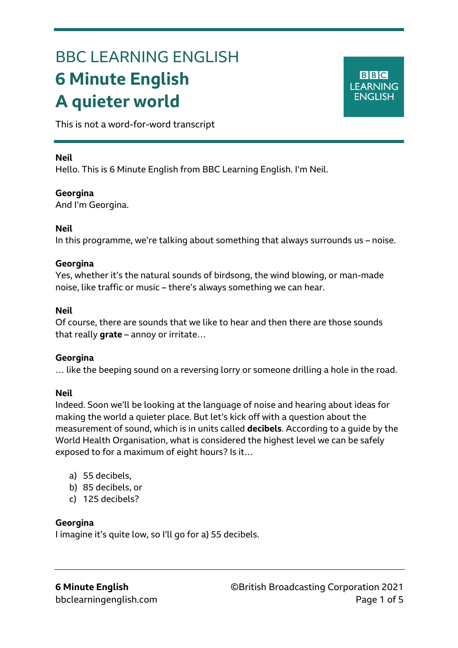# BBC LEARNING ENGLISH **6 Minute English A quieter world**

**BBC LEARNING ENGLISH** 

This is not a word-for-word transcript

#### **Neil**

Ξ

Hello. This is 6 Minute English from BBC Learning English. I'm Neil.

#### **Georgina**

And I'm Georgina.

#### **Neil**

In this programme, we're talking about something that always surrounds us – noise.

#### **Georgina**

Yes, whether it's the natural sounds of birdsong, the wind blowing, or man-made noise, like traffic or music – there's always something we can hear.

#### **Neil**

Of course, there are sounds that we like to hear and then there are those sounds that really **grate** – annoy or irritate…

#### **Georgina**

… like the beeping sound on a reversing lorry or someone drilling a hole in the road.

#### **Neil**

Indeed. Soon we'll be looking at the language of noise and hearing about ideas for making the world a quieter place. But let's kick off with a question about the measurement of sound, which is in units called **decibels**. According to a guide by the World Health Organisation, what is considered the highest level we can be safely exposed to for a maximum of eight hours? Is it…

- a) 55 decibels,
- b) 85 decibels, or
- c) 125 decibels?

#### **Georgina**

I imagine it's quite low, so I'll go for a) 55 decibels.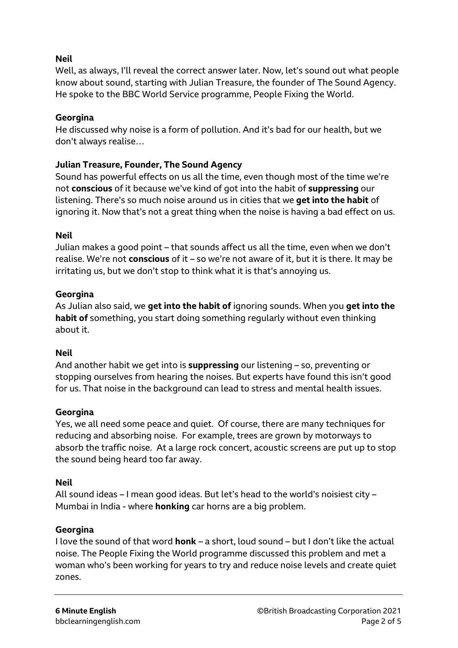# **Neil**

Well, as always, I'll reveal the correct answer later. Now, let's sound out what people know about sound, starting with Julian Treasure, the founder of The Sound Agency. He spoke to the BBC World Service programme, People Fixing the World.

## **Georgina**

He discussed why noise is a form of pollution. And it's bad for our health, but we don't always realise…

# **Julian Treasure, Founder, The Sound Agency**

Sound has powerful effects on us all the time, even though most of the time we're not **conscious** of it because we've kind of got into the habit of **suppressing** our listening. There's so much noise around us in cities that we **get into the habit** of ignoring it. Now that's not a great thing when the noise is having a bad effect on us.

## **Neil**

Julian makes a good point – that sounds affect us all the time, even when we don't realise. We're not **conscious** of it – so we're not aware of it, but it is there. It may be irritating us, but we don't stop to think what it is that's annoying us.

# **Georgina**

As Julian also said, we **get into the habit of** ignoring sounds. When you **get into the habit of** something, you start doing something regularly without even thinking about it.

## **Neil**

And another habit we get into is **suppressing** our listening – so, preventing or stopping ourselves from hearing the noises. But experts have found this isn't good for us. That noise in the background can lead to stress and mental health issues.

## **Georgina**

Yes, we all need some peace and quiet. Of course, there are many techniques for reducing and absorbing noise. For example, trees are grown by motorways to absorb the traffic noise. At a large rock concert, acoustic screens are put up to stop the sound being heard too far away.

## **Neil**

All sound ideas – I mean good ideas. But let's head to the world's noisiest city – Mumbai in India - where **honking** car horns are a big problem.

## **Georgina**

I love the sound of that word **honk** – a short, loud sound – but I don't like the actual noise. The People Fixing the World programme discussed this problem and met a woman who's been working for years to try and reduce noise levels and create quiet zones.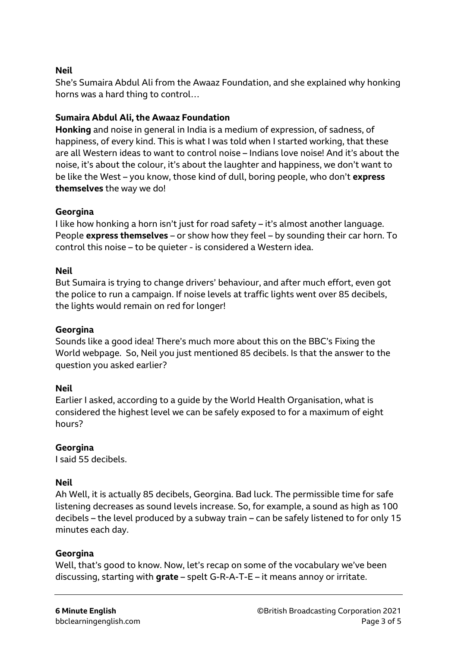## **Neil**

She's Sumaira Abdul Ali from the Awaaz Foundation, and she explained why honking horns was a hard thing to control…

# **Sumaira Abdul Ali, the Awaaz Foundation**

**Honking** and noise in general in India is a medium of expression, of sadness, of happiness, of every kind. This is what I was told when I started working, that these are all Western ideas to want to control noise – Indians love noise! And it's about the noise, it's about the colour, it's about the laughter and happiness, we don't want to be like the West – you know, those kind of dull, boring people, who don't **express themselves** the way we do!

# **Georgina**

I like how honking a horn isn't just for road safety – it's almost another language. People **express themselves** – or show how they feel – by sounding their car horn. To control this noise – to be quieter - is considered a Western idea.

# **Neil**

But Sumaira is trying to change drivers' behaviour, and after much effort, even got the police to run a campaign. If noise levels at traffic lights went over 85 decibels, the lights would remain on red for longer!

# **Georgina**

Sounds like a good idea! There's much more about this on the BBC's Fixing the World webpage. So, Neil you just mentioned 85 decibels. Is that the answer to the question you asked earlier?

# **Neil**

Earlier I asked, according to a guide by the World Health Organisation, what is considered the highest level we can be safely exposed to for a maximum of eight hours?

## **Georgina**

I said 55 decibels.

# **Neil**

Ah Well, it is actually 85 decibels, Georgina. Bad luck. The permissible time for safe listening decreases as sound levels increase. So, for example, a sound as high as 100 decibels – the level produced by a subway train – can be safely listened to for only 15 minutes each day.

## **Georgina**

Well, that's good to know. Now, let's recap on some of the vocabulary we've been discussing, starting with **grate** – spelt G-R-A-T-E – it means annoy or irritate.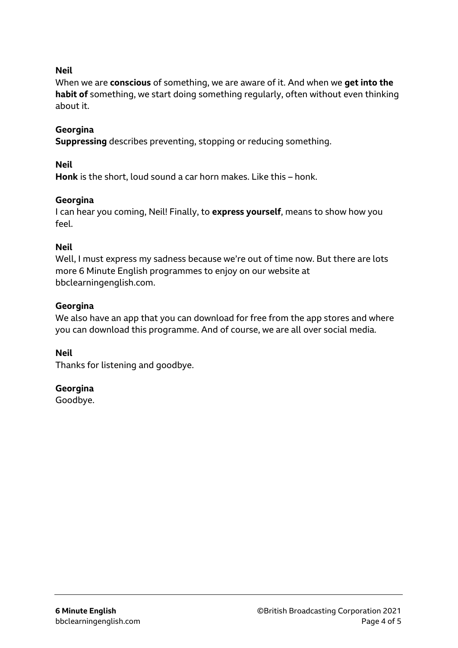# **Neil**

When we are **conscious** of something, we are aware of it. And when we **get into the habit of** something, we start doing something regularly, often without even thinking about it.

## **Georgina**

**Suppressing** describes preventing, stopping or reducing something.

# **Neil**

**Honk** is the short, loud sound a car horn makes. Like this – honk.

# **Georgina**

I can hear you coming, Neil! Finally, to **express yourself**, means to show how you feel.

## **Neil**

Well, I must express my sadness because we're out of time now. But there are lots more 6 Minute English programmes to enjoy on our website at bbclearningenglish.com.

# **Georgina**

We also have an app that you can download for free from the app stores and where you can download this programme. And of course, we are all over social media.

# **Neil**

Thanks for listening and goodbye.

## **Georgina**

Goodbye.